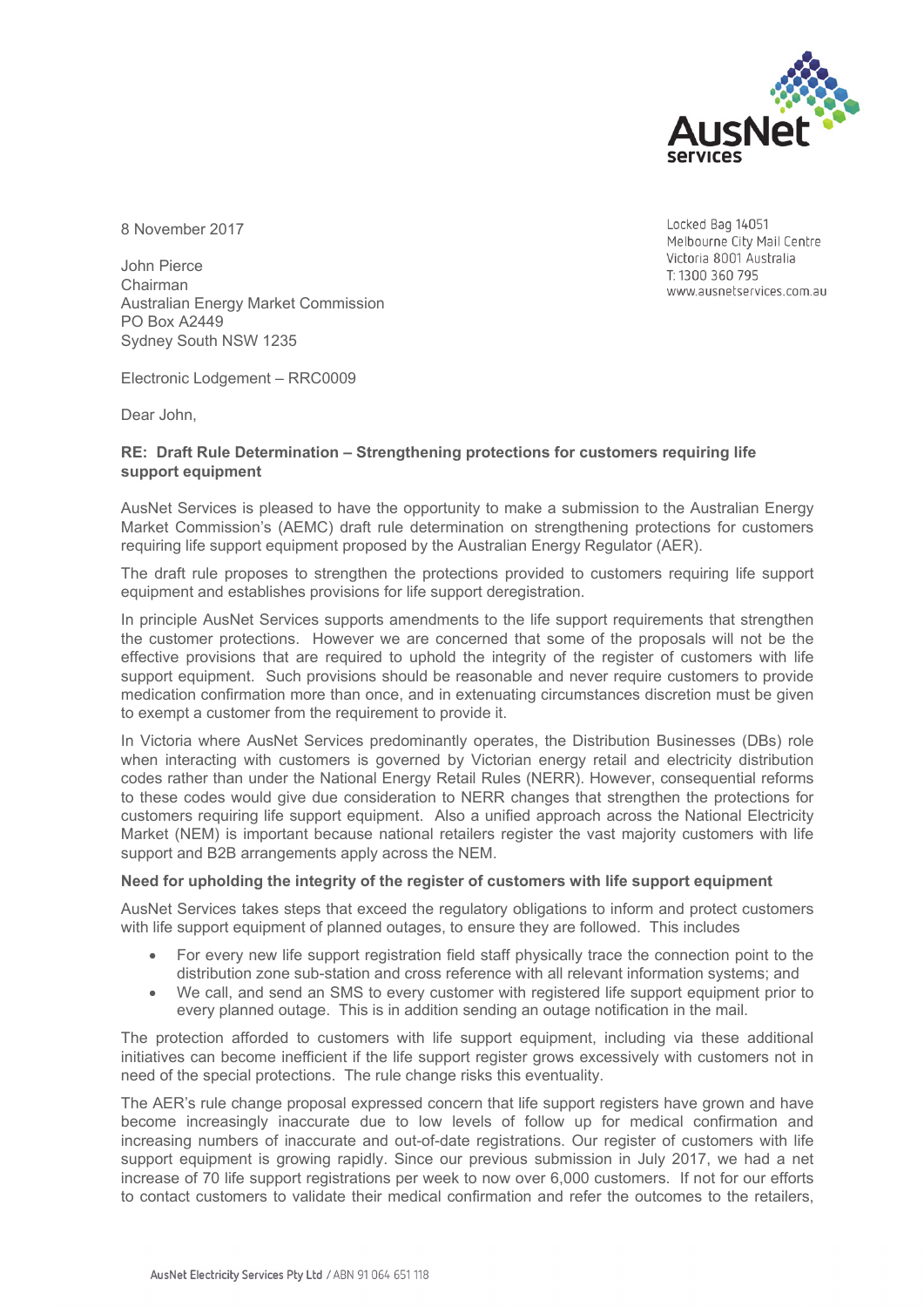

8 November 2017

John Pierce Chairman Australian Energy Market Commission PO Box A2449 Sydney South NSW 1235

Electronic Lodgement – RRC0009

Dear John,

## **RE: Draft Rule Determination – Strengthening protections for customers requiring life support equipment**

AusNet Services is pleased to have the opportunity to make a submission to the Australian Energy Market Commission's (AEMC) draft rule determination on strengthening protections for customers requiring life support equipment proposed by the Australian Energy Regulator (AER).

The draft rule proposes to strengthen the protections provided to customers requiring life support equipment and establishes provisions for life support deregistration.

In principle AusNet Services supports amendments to the life support requirements that strengthen the customer protections. However we are concerned that some of the proposals will not be the effective provisions that are required to uphold the integrity of the register of customers with life support equipment. Such provisions should be reasonable and never require customers to provide medication confirmation more than once, and in extenuating circumstances discretion must be given to exempt a customer from the requirement to provide it.

In Victoria where AusNet Services predominantly operates, the Distribution Businesses (DBs) role when interacting with customers is governed by Victorian energy retail and electricity distribution codes rather than under the National Energy Retail Rules (NERR). However, consequential reforms to these codes would give due consideration to NERR changes that strengthen the protections for customers requiring life support equipment. Also a unified approach across the National Electricity Market (NEM) is important because national retailers register the vast majority customers with life support and B2B arrangements apply across the NEM.

## **Need for upholding the integrity of the register of customers with life support equipment**

AusNet Services takes steps that exceed the regulatory obligations to inform and protect customers with life support equipment of planned outages, to ensure they are followed. This includes

- For every new life support registration field staff physically trace the connection point to the distribution zone sub-station and cross reference with all relevant information systems; and
- We call, and send an SMS to every customer with registered life support equipment prior to every planned outage. This is in addition sending an outage notification in the mail.

The protection afforded to customers with life support equipment, including via these additional initiatives can become inefficient if the life support register grows excessively with customers not in need of the special protections. The rule change risks this eventuality.

The AER's rule change proposal expressed concern that life support registers have grown and have become increasingly inaccurate due to low levels of follow up for medical confirmation and increasing numbers of inaccurate and out-of-date registrations. Our register of customers with life support equipment is growing rapidly. Since our previous submission in July 2017, we had a net increase of 70 life support registrations per week to now over 6,000 customers. If not for our efforts to contact customers to validate their medical confirmation and refer the outcomes to the retailers,

Locked Bag 14051 Melbourne City Mail Centre Victoria 8001 Australia T: 1300 360 795 www.ausnetservices.com.au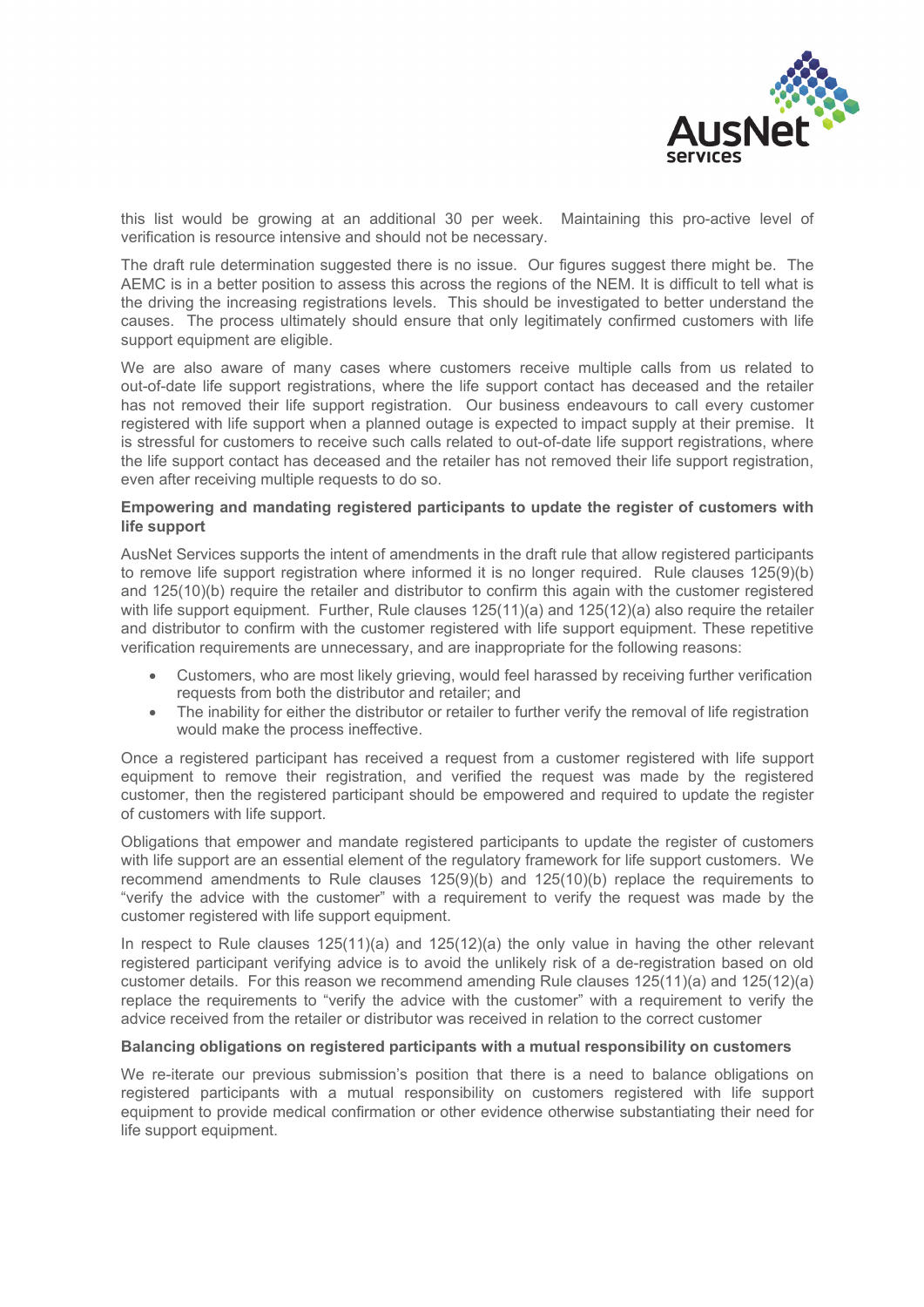

this list would be growing at an additional 30 per week. Maintaining this pro-active level of verification is resource intensive and should not be necessary.

The draft rule determination suggested there is no issue. Our figures suggest there might be. The AEMC is in a better position to assess this across the regions of the NEM. It is difficult to tell what is the driving the increasing registrations levels. This should be investigated to better understand the causes. The process ultimately should ensure that only legitimately confirmed customers with life support equipment are eligible.

We are also aware of many cases where customers receive multiple calls from us related to out-of-date life support registrations, where the life support contact has deceased and the retailer has not removed their life support registration. Our business endeavours to call every customer registered with life support when a planned outage is expected to impact supply at their premise. It is stressful for customers to receive such calls related to out-of-date life support registrations, where the life support contact has deceased and the retailer has not removed their life support registration, even after receiving multiple requests to do so.

## **Empowering and mandating registered participants to update the register of customers with life support**

AusNet Services supports the intent of amendments in the draft rule that allow registered participants to remove life support registration where informed it is no longer required. Rule clauses 125(9)(b) and 125(10)(b) require the retailer and distributor to confirm this again with the customer registered with life support equipment. Further, Rule clauses  $125(11)(a)$  and  $125(12)(a)$  also require the retailer and distributor to confirm with the customer registered with life support equipment. These repetitive verification requirements are unnecessary, and are inappropriate for the following reasons:

- Customers, who are most likely grieving, would feel harassed by receiving further verification requests from both the distributor and retailer; and
- The inability for either the distributor or retailer to further verify the removal of life registration would make the process ineffective.

Once a registered participant has received a request from a customer registered with life support equipment to remove their registration, and verified the request was made by the registered customer, then the registered participant should be empowered and required to update the register of customers with life support.

Obligations that empower and mandate registered participants to update the register of customers with life support are an essential element of the regulatory framework for life support customers. We recommend amendments to Rule clauses 125(9)(b) and 125(10)(b) replace the requirements to "verify the advice with the customer" with a requirement to verify the request was made by the customer registered with life support equipment.

In respect to Rule clauses 125(11)(a) and 125(12)(a) the only value in having the other relevant registered participant verifying advice is to avoid the unlikely risk of a de-registration based on old customer details. For this reason we recommend amending Rule clauses 125(11)(a) and 125(12)(a) replace the requirements to "verify the advice with the customer" with a requirement to verify the advice received from the retailer or distributor was received in relation to the correct customer

## **Balancing obligations on registered participants with a mutual responsibility on customers**

We re-iterate our previous submission's position that there is a need to balance obligations on registered participants with a mutual responsibility on customers registered with life support equipment to provide medical confirmation or other evidence otherwise substantiating their need for life support equipment.